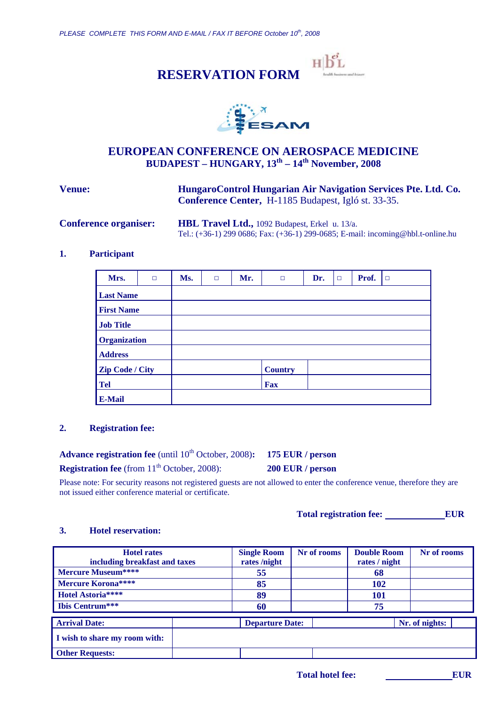





## **EUROPEAN CONFERENCE ON AEROSPACE MEDICINE BUDAPEST – HUNGARY, 13th – 14th November, 2008**

**Venue: HungaroControl Hungarian Air Navigation Services Pte. Ltd. Co. Conference Center,** H-1185 Budapest, Igló st. 33-35.

**Conference organiser: HBL Travel Ltd.,** 1092 Budapest, Erkel u. 13/a. Tel.: (+36-1) 299 0686; Fax: (+36-1) 299-0685; E-mail: incoming@hbl.t-online.hu

## **1. Participant**

| Mrs.                   | $\Box$ | Ms. | $\Box$ | Mr. | $\Box$         | Dr. | $\Box$ | Prof. | $\Box$ |
|------------------------|--------|-----|--------|-----|----------------|-----|--------|-------|--------|
| <b>Last Name</b>       |        |     |        |     |                |     |        |       |        |
| <b>First Name</b>      |        |     |        |     |                |     |        |       |        |
| <b>Job Title</b>       |        |     |        |     |                |     |        |       |        |
| <b>Organization</b>    |        |     |        |     |                |     |        |       |        |
| <b>Address</b>         |        |     |        |     |                |     |        |       |        |
| <b>Zip Code / City</b> |        |     |        |     | <b>Country</b> |     |        |       |        |
| <b>Tel</b>             |        |     |        |     | <b>Fax</b>     |     |        |       |        |
| <b>E-Mail</b>          |        |     |        |     |                |     |        |       |        |

#### **2. Registration fee:**

Advance registration fee (until 10<sup>th</sup> October, 2008): 175 EUR / person

**Registration fee** (from 11<sup>th</sup> October, 2008): **200 EUR / person** 

Please note: For security reasons not registered guests are not allowed to enter the conference venue, therefore they are not issued either conference material or certificate.

Total registration fee: EUR

#### **3. Hotel reservation:**

| <b>Hotel rates</b><br>including breakfast and taxes |    | <b>Single Room</b><br>rates/night | Nr of rooms | <b>Double Room</b><br>rates / night | Nr of rooms    |
|-----------------------------------------------------|----|-----------------------------------|-------------|-------------------------------------|----------------|
| Mercure Museum****                                  |    | 55                                |             | 68                                  |                |
| Mercure Korona****                                  | 85 |                                   |             | <b>102</b>                          |                |
| Hotel Astoria****                                   |    | 89                                |             | 101                                 |                |
| <b>Ibis Centrum</b> ***                             |    | 60                                |             | 75                                  |                |
| <b>Arrival Date:</b>                                |    | <b>Departure Date:</b>            |             |                                     | Nr. of nights: |
| I wish to share my room with:                       |    |                                   |             |                                     |                |
| <b>Other Requests:</b>                              |    |                                   |             |                                     |                |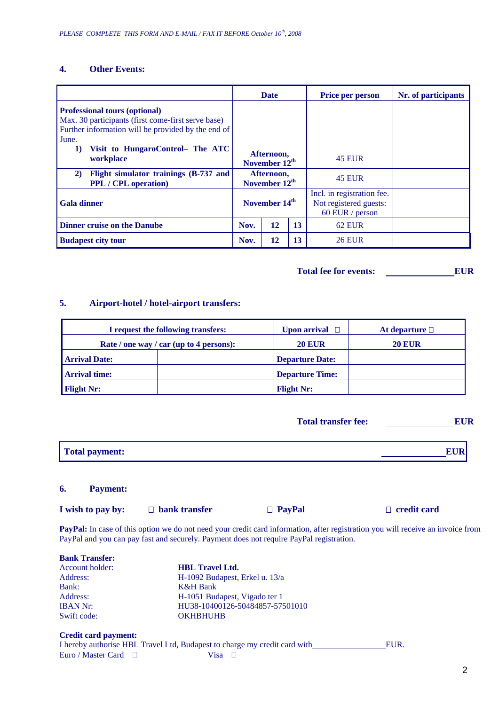## **4. Other Events:**

|                                                                                                                                                           |                                         | <b>Date</b>                             |    | Price per person                                                        | Nr. of participants |
|-----------------------------------------------------------------------------------------------------------------------------------------------------------|-----------------------------------------|-----------------------------------------|----|-------------------------------------------------------------------------|---------------------|
| <b>Professional tours (optional)</b><br>Max. 30 participants (first come-first serve base)<br>Further information will be provided by the end of<br>June. |                                         |                                         |    |                                                                         |                     |
| Visit to HungaroControl- The ATC<br>$\bf{1)}$<br>workplace                                                                                                | Afternoon,<br>November 12 <sup>th</sup> |                                         |    | <b>45 EUR</b>                                                           |                     |
| Flight simulator trainings (B-737 and<br>2)<br><b>PPL</b> / CPL operation)                                                                                |                                         | Afternoon,<br>November 12 <sup>th</sup> |    | <b>45 EUR</b>                                                           |                     |
| <b>Gala dinner</b>                                                                                                                                        |                                         | November 14 <sup>th</sup>               |    | Incl. in registration fee.<br>Not registered guests:<br>60 EUR / person |                     |
| <b>Dinner cruise on the Danube</b>                                                                                                                        |                                         | 12                                      | 13 | <b>62 EUR</b>                                                           |                     |
| <b>Budapest city tour</b>                                                                                                                                 |                                         | 12                                      | 13 | <b>26 EUR</b>                                                           |                     |

**Total fee for events: EUR** 

# **5. Airport-hotel / hotel-airport transfers:**

| I request the following transfers:      | Upon arrival $\Box$    | At departure $\Box$ |
|-----------------------------------------|------------------------|---------------------|
| Rate / one way / car (up to 4 persons): | <b>20 EUR</b>          | <b>20 EUR</b>       |
| <b>Arrival Date:</b>                    | <b>Departure Date:</b> |                     |
| <b>Arrival time:</b>                    | <b>Departure Time:</b> |                     |
| <b>Flight Nr:</b>                       | <b>Flight Nr:</b>      |                     |

| Total payment: |  |
|----------------|--|
|                |  |

#### **6. Payment:**

| I wish to pay by:<br>$\Box$ bank transfer | $\Box$ PayPal | $\Box$ credit card |
|-------------------------------------------|---------------|--------------------|
|-------------------------------------------|---------------|--------------------|

PayPal: In case of this option we do not need your credit card information, after registration you will receive an invoice from PayPal and you can pay fast and securely. Payment does not require PayPal registration.

| <b>Bank Transfer:</b>       |                                 |      |
|-----------------------------|---------------------------------|------|
| Account holder:             | <b>HBL</b> Travel Ltd.          |      |
| Address:                    | H-1092 Budapest, Erkel u. 13/a  |      |
| Bank:                       | <b>K&amp;H</b> Bank             |      |
| Address:                    | H-1051 Budapest, Vigado ter 1   |      |
| <b>IBAN Nr:</b>             | HU38-10400126-50484857-57501010 |      |
| Swift code:                 | <b>OKHBHUHB</b>                 |      |
| <b>Credit card payment:</b> |                                 | ---- |

|                           |             | I hereby authorise HBL Travel Ltd, Budapest to charge my credit card with | EUR. |
|---------------------------|-------------|---------------------------------------------------------------------------|------|
| Euro / Master Card $\Box$ | Visa $\Box$ |                                                                           |      |